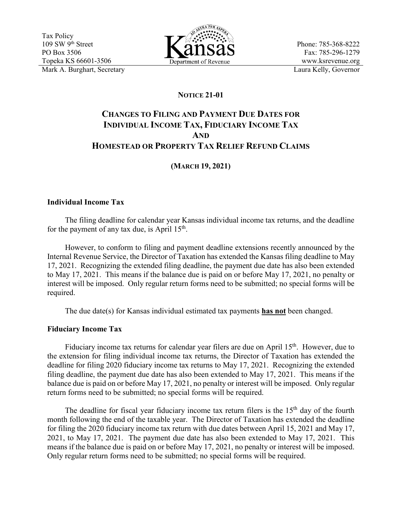

Phone: 785-368-8222 Fax: 785-296-1279 www.ksrevenue.org

## **NOTICE 21-01**

# **CHANGES TO FILING AND PAYMENT DUE DATES FOR INDIVIDUAL INCOME TAX, FIDUCIARY INCOME TAX AND HOMESTEAD OR PROPERTY TAX RELIEF REFUND CLAIMS**

## **(MARCH 19, 2021)**

### **Individual Income Tax**

The filing deadline for calendar year Kansas individual income tax returns, and the deadline for the payment of any tax due, is April  $15<sup>th</sup>$ .

 However, to conform to filing and payment deadline extensions recently announced by the Internal Revenue Service, the Director of Taxation has extended the Kansas filing deadline to May 17, 2021. Recognizing the extended filing deadline, the payment due date has also been extended to May 17, 2021. This means if the balance due is paid on or before May 17, 2021, no penalty or interest will be imposed. Only regular return forms need to be submitted; no special forms will be required.

The due date(s) for Kansas individual estimated tax payments **has not** been changed.

### **Fiduciary Income Tax**

Fiduciary income tax returns for calendar year filers are due on April 15<sup>th</sup>. However, due to the extension for filing individual income tax returns, the Director of Taxation has extended the deadline for filing 2020 fiduciary income tax returns to May 17, 2021. Recognizing the extended filing deadline, the payment due date has also been extended to May 17, 2021. This means if the balance due is paid on or before May 17, 2021, no penalty or interest will be imposed. Only regular return forms need to be submitted; no special forms will be required.

The deadline for fiscal year fiduciary income tax return filers is the 15<sup>th</sup> day of the fourth month following the end of the taxable year. The Director of Taxation has extended the deadline for filing the 2020 fiduciary income tax return with due dates between April 15, 2021 and May 17, 2021, to May 17, 2021. The payment due date has also been extended to May 17, 2021. This means if the balance due is paid on or before May 17, 2021, no penalty or interest will be imposed. Only regular return forms need to be submitted; no special forms will be required.